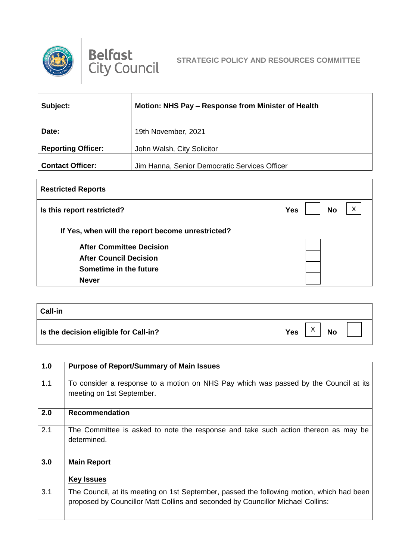



| Subject:                  | Motion: NHS Pay – Response from Minister of Health |
|---------------------------|----------------------------------------------------|
| Date:                     | 19th November, 2021                                |
| <b>Reporting Officer:</b> | John Walsh, City Solicitor                         |
| <b>Contact Officer:</b>   | Jim Hanna, Senior Democratic Services Officer      |

| <b>Restricted Reports</b>                         |                              |
|---------------------------------------------------|------------------------------|
| Is this report restricted?                        | X<br><b>No</b><br><b>Yes</b> |
| If Yes, when will the report become unrestricted? |                              |
| <b>After Committee Decision</b>                   |                              |
| <b>After Council Decision</b>                     |                              |
| Sometime in the future                            |                              |
| <b>Never</b>                                      |                              |

| <b>Call-in</b>                        |                         |
|---------------------------------------|-------------------------|
| Is the decision eligible for Call-in? | <b>Yes</b><br><b>No</b> |

| 1.0 | <b>Purpose of Report/Summary of Main Issues</b>                                                                                                                              |
|-----|------------------------------------------------------------------------------------------------------------------------------------------------------------------------------|
| 1.1 | To consider a response to a motion on NHS Pay which was passed by the Council at its<br>meeting on 1st September.                                                            |
| 2.0 | <b>Recommendation</b>                                                                                                                                                        |
| 2.1 | The Committee is asked to note the response and take such action thereon as may be<br>determined.                                                                            |
| 3.0 | <b>Main Report</b>                                                                                                                                                           |
|     | <b>Key Issues</b>                                                                                                                                                            |
| 3.1 | The Council, at its meeting on 1st September, passed the following motion, which had been<br>proposed by Councillor Matt Collins and seconded by Councillor Michael Collins: |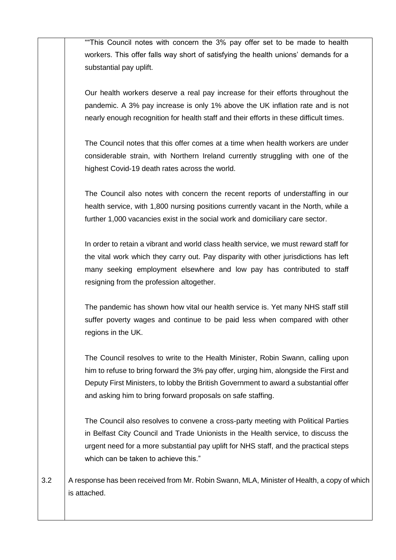|     | "This Council notes with concern the 3% pay offer set to be made to health                  |
|-----|---------------------------------------------------------------------------------------------|
|     | workers. This offer falls way short of satisfying the health unions' demands for a          |
|     | substantial pay uplift.                                                                     |
|     |                                                                                             |
|     | Our health workers deserve a real pay increase for their efforts throughout the             |
|     | pandemic. A 3% pay increase is only 1% above the UK inflation rate and is not               |
|     | nearly enough recognition for health staff and their efforts in these difficult times.      |
|     |                                                                                             |
|     | The Council notes that this offer comes at a time when health workers are under             |
|     | considerable strain, with Northern Ireland currently struggling with one of the             |
|     | highest Covid-19 death rates across the world.                                              |
|     |                                                                                             |
|     | The Council also notes with concern the recent reports of understaffing in our              |
|     | health service, with 1,800 nursing positions currently vacant in the North, while a         |
|     | further 1,000 vacancies exist in the social work and domiciliary care sector.               |
|     |                                                                                             |
|     | In order to retain a vibrant and world class health service, we must reward staff for       |
|     | the vital work which they carry out. Pay disparity with other jurisdictions has left        |
|     | many seeking employment elsewhere and low pay has contributed to staff                      |
|     |                                                                                             |
|     | resigning from the profession altogether.                                                   |
|     | The pandemic has shown how vital our health service is. Yet many NHS staff still            |
|     | suffer poverty wages and continue to be paid less when compared with other                  |
|     |                                                                                             |
|     | regions in the UK.                                                                          |
|     | The Council resolves to write to the Health Minister, Robin Swann, calling upon             |
|     | him to refuse to bring forward the 3% pay offer, urging him, alongside the First and        |
|     | Deputy First Ministers, to lobby the British Government to award a substantial offer        |
|     |                                                                                             |
|     | and asking him to bring forward proposals on safe staffing.                                 |
|     | The Council also resolves to convene a cross-party meeting with Political Parties           |
|     |                                                                                             |
|     | in Belfast City Council and Trade Unionists in the Health service, to discuss the           |
|     | urgent need for a more substantial pay uplift for NHS staff, and the practical steps        |
|     | which can be taken to achieve this."                                                        |
| 3.2 | A response has been received from Mr. Robin Swann, MLA, Minister of Health, a copy of which |
|     | is attached.                                                                                |
|     |                                                                                             |
|     |                                                                                             |